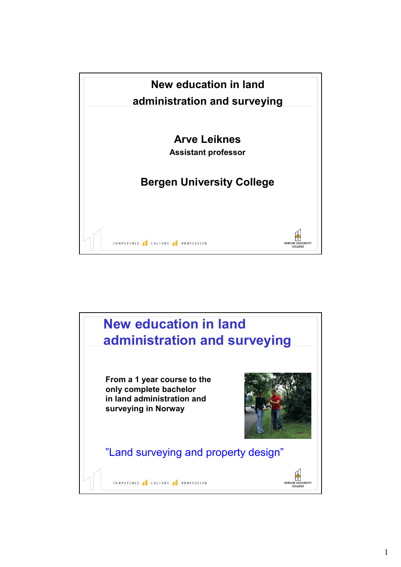

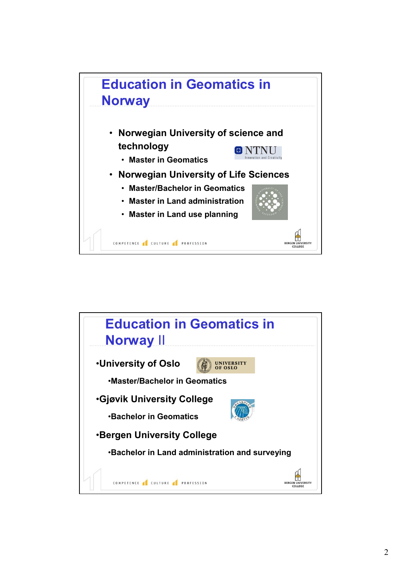

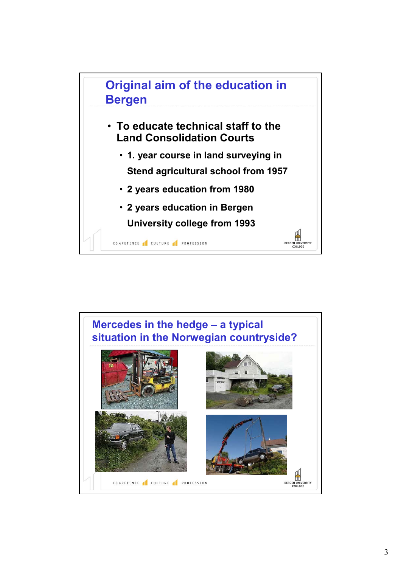

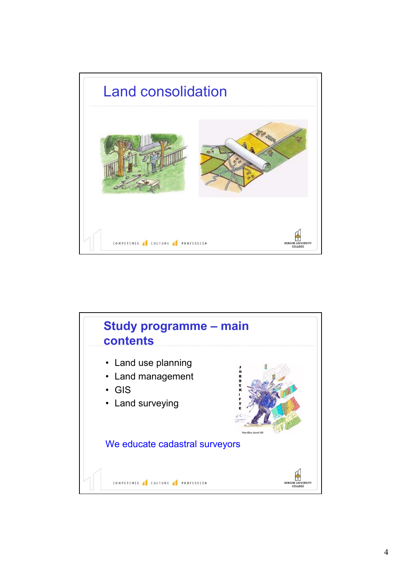

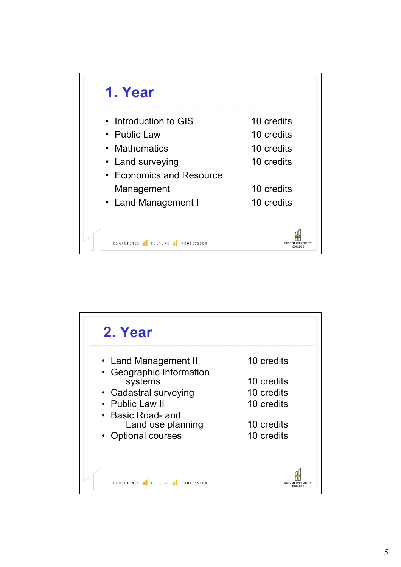

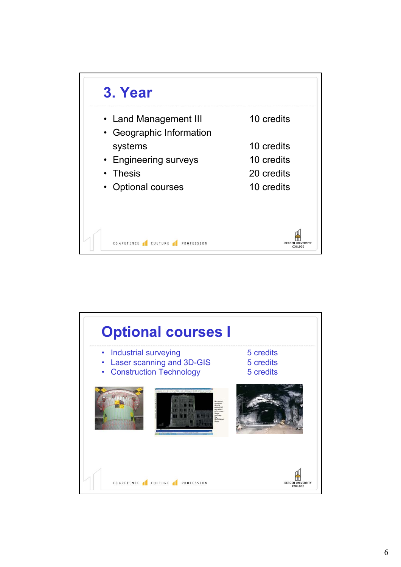

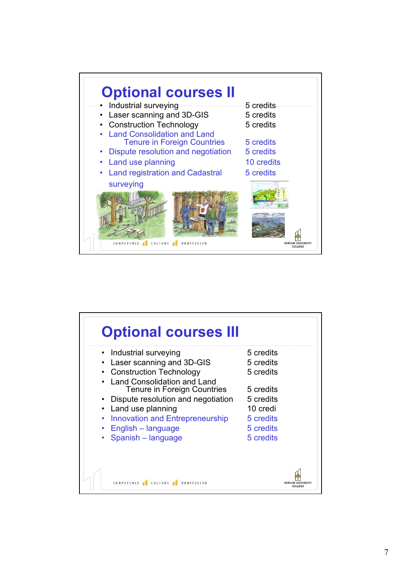

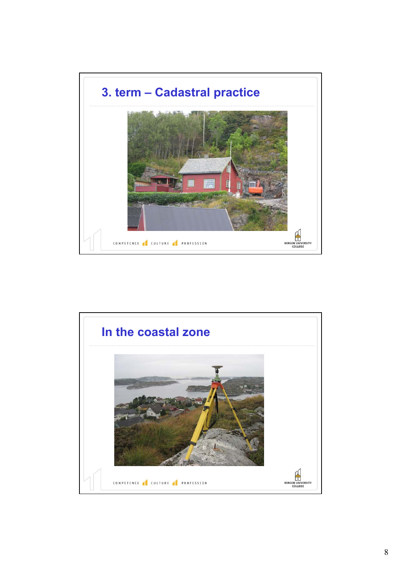

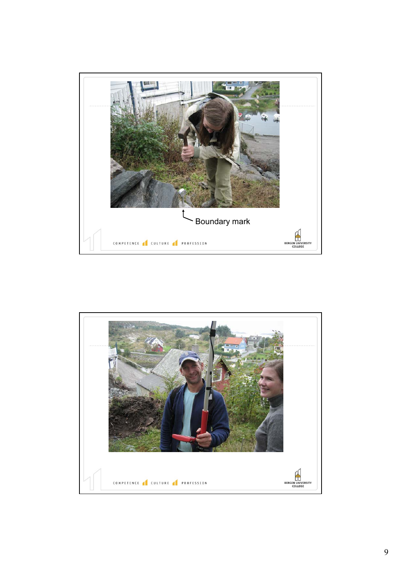

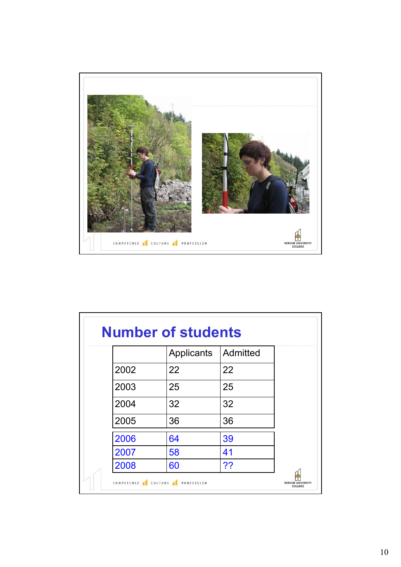

|      | Applicants | Admitted |
|------|------------|----------|
| 2002 | 22         | 22       |
| 2003 | 25         | 25       |
| 2004 | 32         | 32       |
| 2005 | 36         | 36       |
| 2006 | 64         | 39       |
| 2007 | 58         | 41       |
| 2008 | 60         | ??       |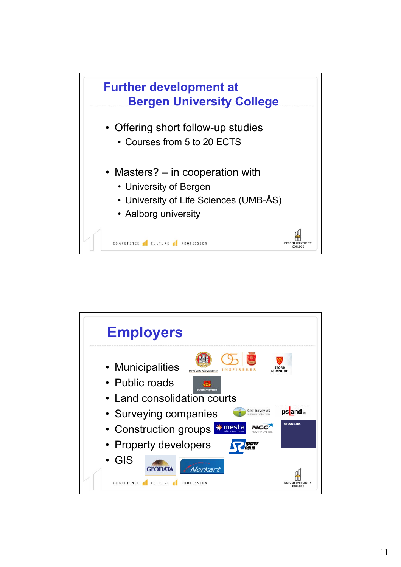